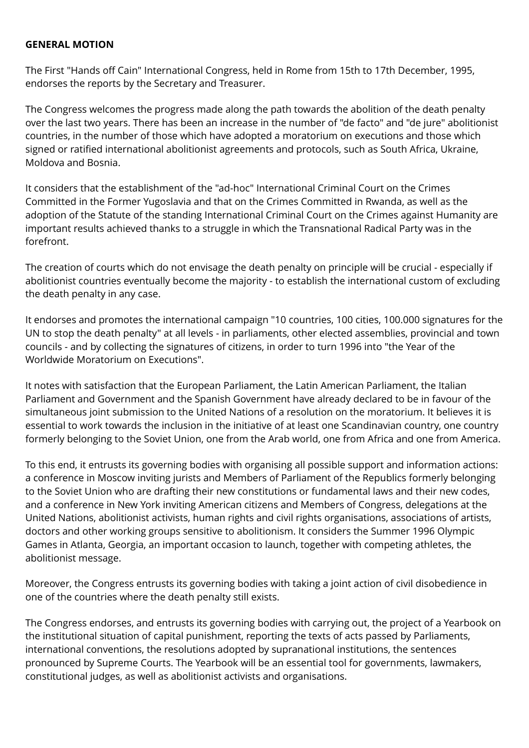## **GENERAL MOTION**

The First "Hands off Cain" International Congress, held in Rome from 15th to 17th December, 1995, endorses the reports by the Secretary and Treasurer.

The Congress welcomes the progress made along the path towards the abolition of the death penalty over the last two years. There has been an increase in the number of "de facto" and "de jure" abolitionist countries, in the number of those which have adopted a moratorium on executions and those which signed or ratified international abolitionist agreements and protocols, such as South Africa, Ukraine, Moldova and Bosnia.

It considers that the establishment of the "ad-hoc" International Criminal Court on the Crimes Committed in the Former Yugoslavia and that on the Crimes Committed in Rwanda, as well as the adoption of the Statute of the standing International Criminal Court on the Crimes against Humanity are important results achieved thanks to a struggle in which the Transnational Radical Party was in the forefront.

The creation of courts which do not envisage the death penalty on principle will be crucial - especially if abolitionist countries eventually become the majority - to establish the international custom of excluding the death penalty in any case.

It endorses and promotes the international campaign "10 countries, 100 cities, 100.000 signatures for the UN to stop the death penalty" at all levels - in parliaments, other elected assemblies, provincial and town councils - and by collecting the signatures of citizens, in order to turn 1996 into "the Year of the Worldwide Moratorium on Executions".

It notes with satisfaction that the European Parliament, the Latin American Parliament, the Italian Parliament and Government and the Spanish Government have already declared to be in favour of the simultaneous joint submission to the United Nations of a resolution on the moratorium. It believes it is essential to work towards the inclusion in the initiative of at least one Scandinavian country, one country formerly belonging to the Soviet Union, one from the Arab world, one from Africa and one from America.

To this end, it entrusts its governing bodies with organising all possible support and information actions: a conference in Moscow inviting jurists and Members of Parliament of the Republics formerly belonging to the Soviet Union who are drafting their new constitutions or fundamental laws and their new codes, and a conference in New York inviting American citizens and Members of Congress, delegations at the United Nations, abolitionist activists, human rights and civil rights organisations, associations of artists, doctors and other working groups sensitive to abolitionism. It considers the Summer 1996 Olympic Games in Atlanta, Georgia, an important occasion to launch, together with competing athletes, the abolitionist message.

Moreover, the Congress entrusts its governing bodies with taking a joint action of civil disobedience in one of the countries where the death penalty still exists.

The Congress endorses, and entrusts its governing bodies with carrying out, the project of a Yearbook on the institutional situation of capital punishment, reporting the texts of acts passed by Parliaments, international conventions, the resolutions adopted by supranational institutions, the sentences pronounced by Supreme Courts. The Yearbook will be an essential tool for governments, lawmakers, constitutional judges, as well as abolitionist activists and organisations.